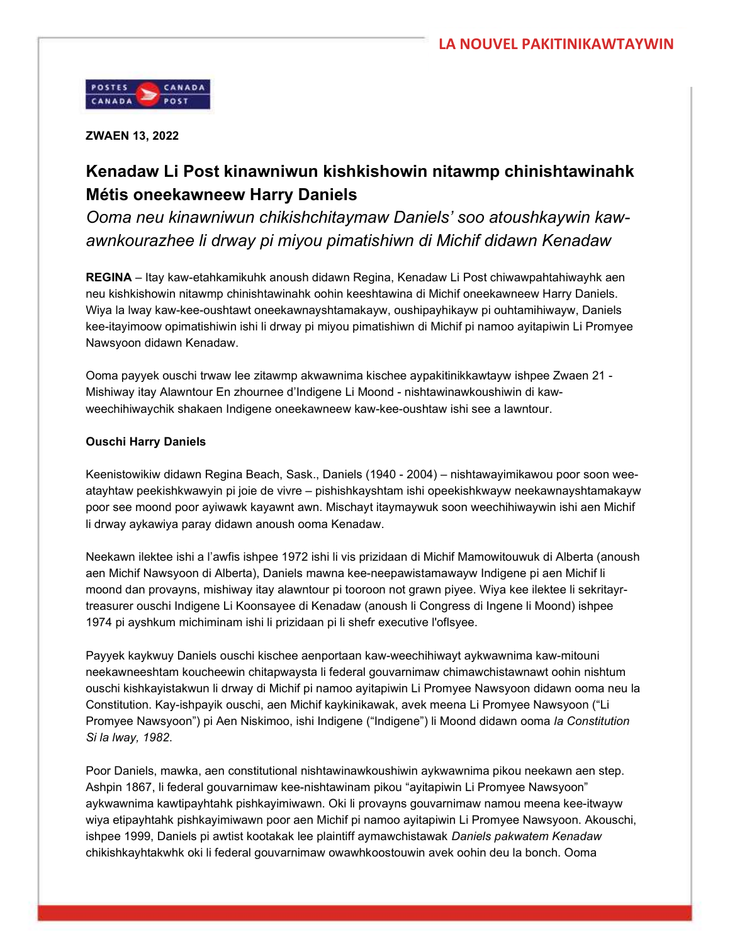

ZWAEN 13, 2022

## Kenadaw Li Post kinawniwun kishkishowin nitawmp chinishtawinahk Métis oneekawneew Harry Daniels

Ooma neu kinawniwun chikishchitaymaw Daniels' soo atoushkaywin kawawnkourazhee li drway pi miyou pimatishiwn di Michif didawn Kenadaw

REGINA – Itay kaw-etahkamikuhk anoush didawn Regina, Kenadaw Li Post chiwawpahtahiwayhk aen neu kishkishowin nitawmp chinishtawinahk oohin keeshtawina di Michif oneekawneew Harry Daniels. Wiya la lway kaw-kee-oushtawt oneekawnayshtamakayw, oushipayhikayw pi ouhtamihiwayw, Daniels kee-itayimoow opimatishiwin ishi li drway pi miyou pimatishiwn di Michif pi namoo ayitapiwin Li Promyee Nawsyoon didawn Kenadaw.

Ooma payyek ouschi trwaw lee zitawmp akwawnima kischee aypakitinikkawtayw ishpee Zwaen 21 - Mishiway itay Alawntour En zhournee d'Indigene Li Moond - nishtawinawkoushiwin di kawweechihiwaychik shakaen Indigene oneekawneew kaw-kee-oushtaw ishi see a lawntour.

## Ouschi Harry Daniels

Keenistowikiw didawn Regina Beach, Sask., Daniels (1940 - 2004) – nishtawayimikawou poor soon weeatayhtaw peekishkwawyin pi joie de vivre – pishishkayshtam ishi opeekishkwayw neekawnayshtamakayw poor see moond poor ayiwawk kayawnt awn. Mischayt itaymaywuk soon weechihiwaywin ishi aen Michif li drway aykawiya paray didawn anoush ooma Kenadaw.

Neekawn ilektee ishi a l'awfis ishpee 1972 ishi li vis prizidaan di Michif Mamowitouwuk di Alberta (anoush aen Michif Nawsyoon di Alberta), Daniels mawna kee-neepawistamawayw Indigene pi aen Michif li moond dan provayns, mishiway itay alawntour pi tooroon not grawn piyee. Wiya kee ilektee li sekritayrtreasurer ouschi Indigene Li Koonsayee di Kenadaw (anoush li Congress di Ingene li Moond) ishpee 1974 pi ayshkum michiminam ishi li prizidaan pi li shefr executive l'oflsyee.

Payyek kaykwuy Daniels ouschi kischee aenportaan kaw-weechihiwayt aykwawnima kaw-mitouni neekawneeshtam koucheewin chitapwaysta li federal gouvarnimaw chimawchistawnawt oohin nishtum ouschi kishkayistakwun li drway di Michif pi namoo ayitapiwin Li Promyee Nawsyoon didawn ooma neu la Constitution. Kay-ishpayik ouschi, aen Michif kaykinikawak, avek meena Li Promyee Nawsyoon ("Li Promyee Nawsyoon") pi Aen Niskimoo, ishi Indigene ("Indigene") li Moond didawn ooma la Constitution Si la lway, 1982.

Poor Daniels, mawka, aen constitutional nishtawinawkoushiwin aykwawnima pikou neekawn aen step. Ashpin 1867, li federal gouvarnimaw kee-nishtawinam pikou "ayitapiwin Li Promyee Nawsyoon" aykwawnima kawtipayhtahk pishkayimiwawn. Oki li provayns gouvarnimaw namou meena kee-itwayw wiya etipayhtahk pishkayimiwawn poor aen Michif pi namoo ayitapiwin Li Promyee Nawsyoon. Akouschi, ishpee 1999, Daniels pi awtist kootakak lee plaintiff aymawchistawak Daniels pakwatem Kenadaw chikishkayhtakwhk oki li federal gouvarnimaw owawhkoostouwin avek oohin deu la bonch. Ooma